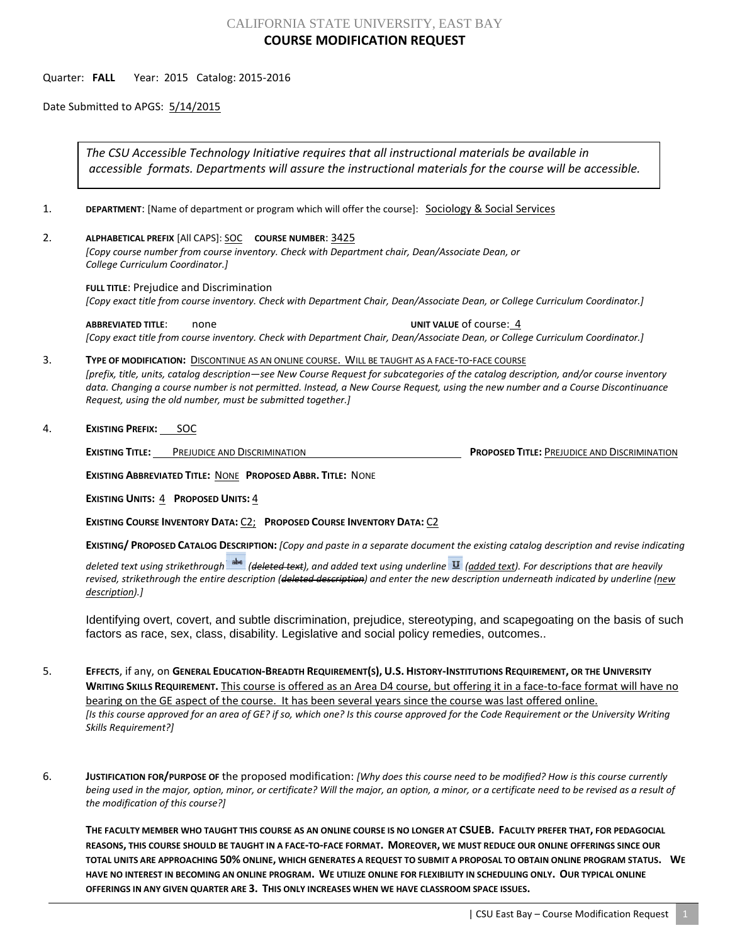# CALIFORNIA STATE UNIVERSITY, EAST BAY **COURSE MODIFICATION REQUEST**

### Quarter: **FALL** Year: 2015 Catalog: 2015-2016

Date Submitted to APGS: 5/14/2015

*The CSU Accessible Technology Initiative requires that all instructional materials be available in accessible formats. Departments will assure the instructional materials for the course will be accessible.*

1. **DEPARTMENT:** [Name of department or program which will offer the course]: **Sociology & Social Services** 

2. **ALPHABETICAL PREFIX** [All CAPS]: SOC **COURSE NUMBER**: 3425

*[Copy course number from course inventory. Check with Department chair, Dean/Associate Dean, or College Curriculum Coordinator.]* 

**FULL TITLE**: Prejudice and Discrimination *[Copy exact title from course inventory. Check with Department Chair, Dean/Associate Dean, or College Curriculum Coordinator.]*

**ABBREVIATED TITLE:** none **1999** none **UNIT VALUE** of course: 4 *[Copy exact title from course inventory. Check with Department Chair, Dean/Associate Dean, or College Curriculum Coordinator.]*

#### 3. **TYPE OF MODIFICATION:** DISCONTINUE AS AN ONLINE COURSE. WILL BE TAUGHT AS A FACE-TO-FACE COURSE

*[prefix, title, units, catalog description—see New Course Request for subcategories of the catalog description, and/or course inventory data. Changing a course number is not permitted. Instead, a New Course Request, using the new number and a Course Discontinuance Request, using the old number, must be submitted together.]*

#### 4. **EXISTING PREFIX:** SOC

**EXISTING TITLE:** PREJUDICE AND DISCRIMINATION **PROPOSED TITLE:** PREJUDICE AND DISCRIMINATION

**EXISTING ABBREVIATED TITLE:** NONE **PROPOSED ABBR. TITLE:** NONE

**EXISTING UNITS:** 4 **PROPOSED UNITS:** 4

**EXISTING COURSE INVENTORY DATA:** C2; **PROPOSED COURSE INVENTORY DATA:** C2

**EXISTING/ PROPOSED CATALOG DESCRIPTION:** *[Copy and paste in a separate document the existing catalog description and revise indicating* 

*deleted text using strikethrough (deleted text), and added text using underline (added text). For descriptions that are heavily revised, strikethrough the entire description (deleted description) and enter the new description underneath indicated by underline (new description).]*

Identifying overt, covert, and subtle discrimination, prejudice, stereotyping, and scapegoating on the basis of such factors as race, sex, class, disability. Legislative and social policy remedies, outcomes..

- 5. **EFFECTS**, if any, on **GENERAL EDUCATION-BREADTH REQUIREMENT(S), U.S. HISTORY-INSTITUTIONS REQUIREMENT, OR THE UNIVERSITY WRITING SKILLS REQUIREMENT.** This course is offered as an Area D4 course, but offering it in a face-to-face format will have no bearing on the GE aspect of the course. It has been several years since the course was last offered online. *[Is this course approved for an area of GE? if so, which one? Is this course approved for the Code Requirement or the University Writing Skills Requirement?]*
- 6. **JUSTIFICATION FOR/PURPOSE OF** the proposed modification: *[Why does this course need to be modified? How is this course currently being used in the major, option, minor, or certificate? Will the major, an option, a minor, or a certificate need to be revised as a result of the modification of this course?]*

**THE FACULTY MEMBER WHO TAUGHT THIS COURSE AS AN ONLINE COURSE IS NO LONGER AT CSUEB. FACULTY PREFER THAT, FOR PEDAGOCIAL REASONS, THIS COURSE SHOULD BE TAUGHT IN A FACE-TO-FACE FORMAT. MOREOVER, WE MUST REDUCE OUR ONLINE OFFERINGS SINCE OUR TOTAL UNITS ARE APPROACHING 50% ONLINE, WHICH GENERATES A REQUEST TO SUBMIT A PROPOSAL TO OBTAIN ONLINE PROGRAM STATUS. WE HAVE NO INTEREST IN BECOMING AN ONLINE PROGRAM. WE UTILIZE ONLINE FOR FLEXIBILITY IN SCHEDULING ONLY. OUR TYPICAL ONLINE OFFERINGS IN ANY GIVEN QUARTER ARE 3. THIS ONLY INCREASES WHEN WE HAVE CLASSROOM SPACE ISSUES.**